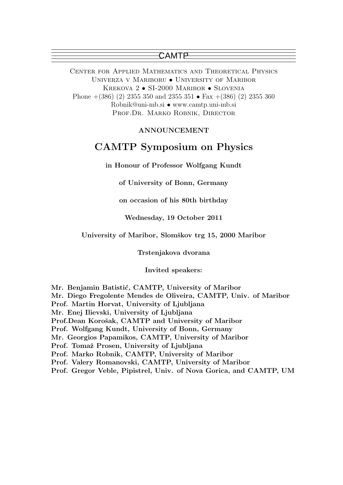Center for Applied Mathematics and Theoretical Physics Univerza v Mariboru • University of Maribor KREKOVA 2 • SI-2000 MARIBOR • SLOVENIA Phone  $+(386)$  (2) 2355 350 and 2355 351 • Fax  $+(386)$  (2) 2355 360 Robnik@uni-mb.si • www.camtp.uni-mb.si PROF.DR. MARKO ROBNIK, DIRECTOR

#### ANNOUNCEMENT

## CAMTP Symposium on Physics

in Honour of Professor Wolfgang Kundt

of University of Bonn, Germany

on occasion of his 80th birthday

Wednesday, 19 October 2011

University of Maribor, Slomškov trg 15, 2000 Maribor

Trstenjakova dvorana

Invited speakers:

Mr. Benjamin Batistić, CAMTP, University of Maribor

Mr. Diego Fregolente Mendes de Oliveira, CAMTP, Univ. of Maribor

Prof. Martin Horvat, University of Ljubljana

Mr. Enej Ilievski, University of Ljubljana

Prof.Dean Korošak, CAMTP and University of Maribor

Prof. Wolfgang Kundt, University of Bonn, Germany

Mr. Georgios Papamikos, CAMTP, University of Maribor

Prof. Tomaž Prosen, University of Ljubljana

Prof. Marko Robnik, CAMTP, University of Maribor

Prof. Valery Romanovski, CAMTP, University of Maribor

Prof. Gregor Veble, Pipistrel, Univ. of Nova Gorica, and CAMTP, UM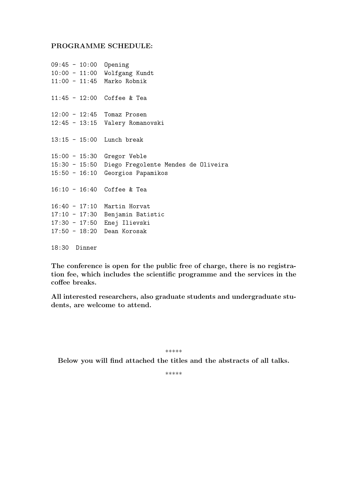#### PROGRAMME SCHEDULE:

```
09:45 - 10:00 Opening
10:00 - 11:00 Wolfgang Kundt
11:00 - 11:45 Marko Robnik
11:45 - 12:00 Coffee & Tea
12:00 - 12:45 Tomaz Prosen
12:45 - 13:15 Valery Romanovski
13:15 - 15:00 Lunch break
15:00 - 15:30 Gregor Veble
15:30 - 15:50 Diego Fregolente Mendes de Oliveira
15:50 - 16:10 Georgios Papamikos
16:10 - 16:40 Coffee & Tea
16:40 - 17:10 Martin Horvat
17:10 - 17:30 Benjamin Batistic
17:30 - 17:50 Enej Ilievski
17:50 - 18:20 Dean Korosak
18:30 Dinner
```
The conference is open for the public free of charge, there is no registration fee, which includes the scientific programme and the services in the coffee breaks.

All interested researchers, also graduate students and undergraduate students, are welcome to attend.

\*\*\*\*\*

Below you will find attached the titles and the abstracts of all talks.

\*\*\*\*\*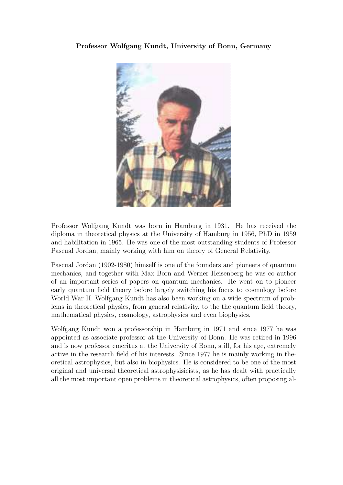### Professor Wolfgang Kundt, University of Bonn, Germany



Professor Wolfgang Kundt was born in Hamburg in 1931. He has received the diploma in theoretical physics at the University of Hamburg in 1956, PhD in 1959 and habilitation in 1965. He was one of the most outstanding students of Professor Pascual Jordan, mainly working with him on theory of General Relativity.

Pascual Jordan (1902-1980) himself is one of the founders and pioneers of quantum mechanics, and together with Max Born and Werner Heisenberg he was co-author of an important series of papers on quantum mechanics. He went on to pioneer early quantum field theory before largely switching his focus to cosmology before World War II. Wolfgang Kundt has also been working on a wide spectrum of problems in theoretical physics, from general relativity, to the the quantum field theory, mathematical physics, cosmology, astrophysics and even biophysics.

Wolfgang Kundt won a professorship in Hamburg in 1971 and since 1977 he was appointed as associate professor at the University of Bonn. He was retired in 1996 and is now professor emeritus at the University of Bonn, still, for his age, extremely active in the research field of his interests. Since 1977 he is mainly working in theoretical astrophysics, but also in biophysics. He is considered to be one of the most original and universal theoretical astrophysisicists, as he has dealt with practically all the most important open problems in theoretical astrophysics, often proposing al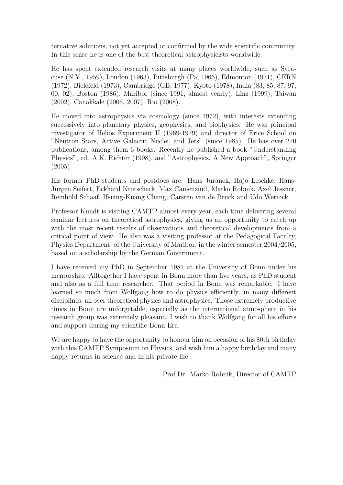ternative solutions, not yet accepted or confirmed by the wide scientific community. In this sense he is one of the best theoretical astrophysicists worldwide.

He has spent extended research visits at many places worldwide, such as Syracuse (N.Y., 1959), London (1963), Pittsburgh (Pa, 1966), Edmonton (1971), CERN (1972), Bielefeld (1973), Cambridge (GB, 1977), Kyoto (1978), India (83, 85, 87, 97, 00, 02), Boston (1986), Maribor (since 1991, almost yearly), Linz (1999), Taiwan (2002), Canakkale (2006, 2007), Rio (2008).

He moved into astrophysics via cosmology (since 1972), with interests extending successively into planetary physics, geophysics, and biophysics. He was principal investigator of Helios Experiment II (1969-1979) and director of Erice School on "Neutron Stars, Active Galactic Nuclei, and Jets" (since 1985). He has over 270 publications, among them 6 books. Recently he published a book "Understanding Physics", ed. A.K. Richter (1998), and "Astrophysics, A New Approach", Springer (2005).

His former PhD-students and postdocs are: Hans Juranek, Hajo Leschke, Hans-Jürgen Seifert, Eckhard Krotscheck, Max Camenzind, Marko Robnik, Axel Jessner, Reinhold Schaaf, Hsiang-Kuang Chang, Carsten van de Bruck and Udo Wernick.

Professor Kundt is visiting CAMTP almost every year, each time delivering several seminar lectures on theoretical astrophysics, giving us an opportunity to catch up with the most recent results of observations and theoretical developments from a critical point of view. He also was a visiting professor at the Pedagogical Faculty, Physics Department, of the University of Maribor, in the winter semester 2004/2005, based on a scholarship by the German Government.

I have received my PhD in September 1981 at the University of Bonn under his mentorship. Alltogether I have spent in Bonn more than five years, as PhD student and also as a full time researcher. That period in Bonn was remarkable. I have learned so much from Wolfgang how to do physics efficiently, in many different disciplines, all over theoretical physics and astrophysics. Those extremely productive times in Bonn are unforgetable, especially as the international atmosphere in his research group was extremely pleasant. I wish to thank Wolfgang for all his efforts and support during my scientific Bonn Era.

We are happy to have the opportunity to honour him on occasion of his 80th birthday with this CAMTP Symposium on Physics, and wish him a happy birthday and many happy returns in science and in his private life.

Prof.Dr. Marko Robnik, Director of CAMTP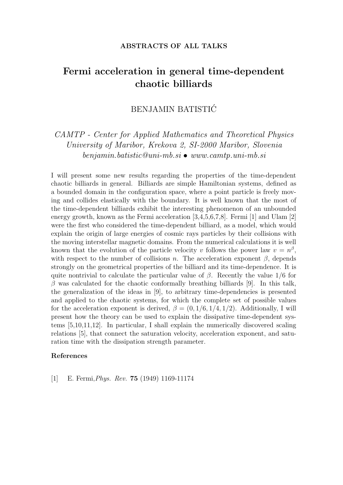#### ABSTRACTS OF ALL TALKS

## Fermi acceleration in general time-dependent chaotic billiards

### BENJAMIN BATISTIC´

### *CAMTP - Center for Applied Mathematics and Theoretical Physics University of Maribor, Krekova 2, SI-2000 Maribor, Slovenia benjamin.batistic@uni-mb.si* • *www.camtp.uni-mb.si*

I will present some new results regarding the properties of the time-dependent chaotic billiards in general. Billiards are simple Hamiltonian systems, defined as a bounded domain in the configuration space, where a point particle is freely moving and collides elastically with the boundary. It is well known that the most of the time-dependent billiards exhibit the interesting phenomenon of an unbounded energy growth, known as the Fermi acceleration [3,4,5,6,7,8]. Fermi [1] and Ulam [2] were the first who considered the time-dependent billiard, as a model, which would explain the origin of large energies of cosmic rays particles by their collisions with the moving interstellar magnetic domains. From the numerical calculations it is well known that the evolution of the particle velocity v follows the power law  $v = n^{\beta}$ , with respect to the number of collisions n. The acceleration exponent  $\beta$ , depends strongly on the geometrical properties of the billiard and its time-dependence. It is quite nontrivial to calculate the particular value of  $\beta$ . Recently the value 1/6 for  $\beta$  was calculated for the chaotic conformally breathing billiards [9]. In this talk, the generalization of the ideas in [9], to arbitrary time-dependencies is presented and applied to the chaotic systems, for which the complete set of possible values for the acceleration exponent is derived,  $\beta = (0, 1/6, 1/4, 1/2)$ . Additionally, I will present how the theory can be used to explain the dissipative time-dependent systems [5,10,11,12]. In particular, I shall explain the numerically discovered scaling relations [5], that connect the saturation velocity, acceleration exponent, and saturation time with the dissipation strength parameter.

#### References

[1] E. Fermi,*Phys. Rev.* 75 (1949) 1169-11174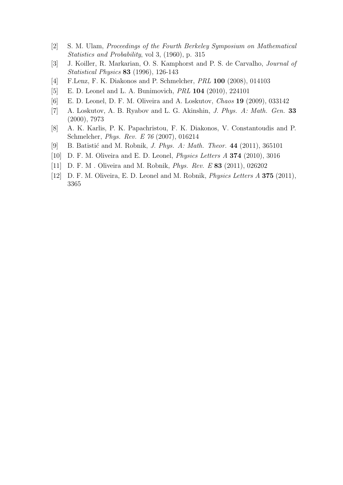- [2] S. M. Ulam, *Proceedings of the Fourth Berkeley Symposium on Mathematical Statistics and Probability*, vol 3, (1960), p. 315
- [3] J. Koiller, R. Markarian, O. S. Kamphorst and P. S. de Carvalho, *Journal of Statistical Physics* 83 (1996), 126-143
- [4] F.Lenz, F. K. Diakonos and P. Schmelcher, *PRL* 100 (2008), 014103
- [5] E. D. Leonel and L. A. Bunimovich, *PRL* 104 (2010), 224101
- [6] E. D. Leonel, D. F. M. Oliveira and A. Loskutov, *Chaos* 19 (2009), 033142
- [7] A. Loskutov, A. B. Ryabov and L. G. Akinshin, *J. Phys. A: Math. Gen.* 33 (2000), 7973
- [8] A. K. Karlis, P. K. Papachristou, F. K. Diakonos, V. Constantoudis and P. Schmelcher, *Phys. Rev. E 76* (2007), 016214
- [9] B. Batisti´c and M. Robnik, *J. Phys. A: Math. Theor.* 44 (2011), 365101
- [10] D. F. M. Oliveira and E. D. Leonel, *Physics Letters A* 374 (2010), 3016
- [11] D. F. M . Oliveira and M. Robnik, *Phys. Rev. E* 83 (2011), 026202
- [12] D. F. M. Oliveira, E. D. Leonel and M. Robnik, *Physics Letters A* 375 (2011), 3365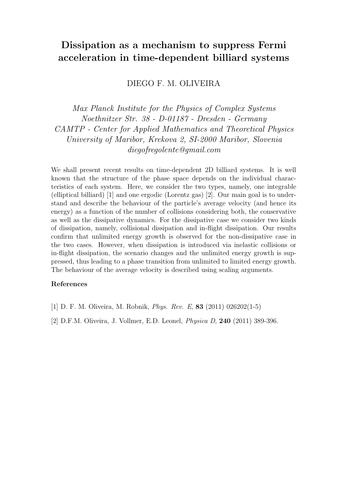# Dissipation as a mechanism to suppress Fermi acceleration in time-dependent billiard systems

DIEGO F. M. OLIVEIRA

*Max Planck Institute for the Physics of Complex Systems Noethnitzer Str. 38 - D-01187 - Dresden - Germany CAMTP - Center for Applied Mathematics and Theoretical Physics University of Maribor, Krekova 2, SI-2000 Maribor, Slovenia diegofregolente@gmail.com*

We shall present recent results on time-dependent 2D billiard systems. It is well known that the structure of the phase space depends on the individual characteristics of each system. Here, we consider the two types, namely, one integrable (elliptical billiard) [1] and one ergodic (Lorentz gas) [2]. Our main goal is to understand and describe the behaviour of the particle's average velocity (and hence its energy) as a function of the number of collisions considering both, the conservative as well as the dissipative dynamics. For the dissipative case we consider two kinds of dissipation, namely, collisional dissipation and in-flight dissipation. Our results confirm that unlimited energy growth is observed for the non-dissipative case in the two cases. However, when dissipation is introduced via inelastic collisions or in-flight dissipation, the scenario changes and the unlimited energy growth is suppressed, thus leading to a phase transition from unlimited to limited energy growth. The behaviour of the average velocity is described using scaling arguments.

- [1] D. F. M. Oliveira, M. Robnik, *Phys. Rev. E*, 83 (2011) 026202(1-5)
- [2] D.F.M. Oliveira, J. Vollmer, E.D. Leonel, *Physica D*, 240 (2011) 389-396.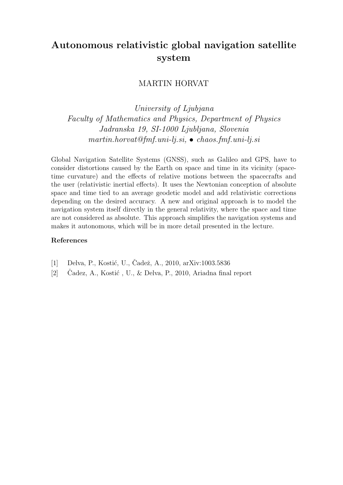# Autonomous relativistic global navigation satellite system

### MARTIN HORVAT

*University of Ljubjana Faculty of Mathematics and Physics, Department of Physics Jadranska 19, SI-1000 Ljubljana, Slovenia martin.horvat@fmf.uni-lj.si,* • *chaos.fmf.uni-lj.si*

Global Navigation Satellite Systems (GNSS), such as Galileo and GPS, have to consider distortions caused by the Earth on space and time in its vicinity (spacetime curvature) and the effects of relative motions between the spacecrafts and the user (relativistic inertial effects). It uses the Newtonian conception of absolute space and time tied to an average geodetic model and add relativistic corrections depending on the desired accuracy. A new and original approach is to model the navigation system itself directly in the general relativity, where the space and time are not considered as absolute. This approach simplifies the navigation systems and makes it autonomous, which will be in more detail presented in the lecture.

- [1] Delva, P., Kostić, U., Čadež, A., 2010, arXiv:1003.5836
- [2] Cadez, A., Kostić, U., & Delva, P., 2010, Ariadna final report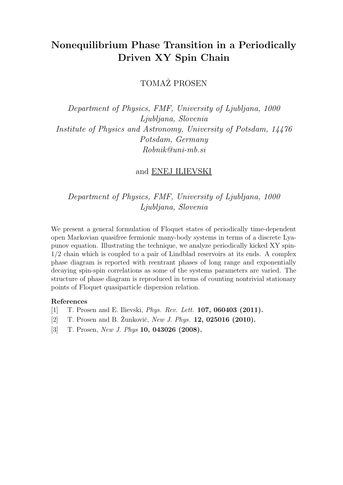# Nonequilibrium Phase Transition in a Periodically Driven XY Spin Chain

TOMAŽ PROSEN

*Department of Physics, FMF, University of Ljubljana, 1000 Ljubljana, Slovenia Institute of Physics and Astronomy, University of Potsdam, 14476 Potsdam, Germany Robnik@uni-mb.si*

### and ENEJ ILIEVSKI

*Department of Physics, FMF, University of Ljubljana, 1000 Ljubljana, Slovenia*

We present a general formulation of Floquet states of periodically time-dependent open Markovian quasifree fermionic many-body systems in terms of a discrete Lyapunov equation. Illustrating the technique, we analyze periodically kicked XY spin-1/2 chain which is coupled to a pair of Lindblad reservoirs at its ends. A complex phase diagram is reported with reentrant phases of long range and exponentially decaying spin-spin correlations as some of the systems parameters are varied. The structure of phase diagram is reproduced in terms of counting nontrivial stationary points of Floquet quasiparticle dispersion relation.

- [1] T. Prosen and E. Ilievski, *Phys. Rev. Lett.* 107, 060403 (2011).
- [2] T. Prosen and B. Žunkovič, *New J. Phys.* **12, 025016 (2010).**
- [3] T. Prosen, *New J. Phys* 10, 043026 (2008).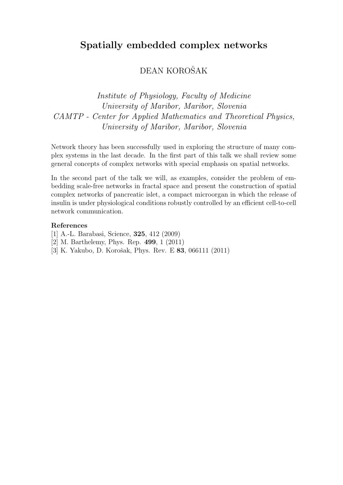## Spatially embedded complex networks

## DEAN KOROŠAK

## *Institute of Physiology, Faculty of Medicine University of Maribor, Maribor, Slovenia CAMTP - Center for Applied Mathematics and Theoretical Physics, University of Maribor, Maribor, Slovenia*

Network theory has been successfully used in exploring the structure of many complex systems in the last decade. In the first part of this talk we shall review some general concepts of complex networks with special emphasis on spatial networks.

In the second part of the talk we will, as examples, consider the problem of embedding scale-free networks in fractal space and present the construction of spatial complex networks of pancreatic islet, a compact microorgan in which the release of insulin is under physiological conditions robustly controlled by an efficient cell-to-cell network communication.

- [1] A.-L. Barabasi, Science, 325, 412 (2009)
- [2] M. Barthelemy, Phys. Rep. 499, 1 (2011)
- [3] K. Yakubo, D. Korošak, Phys. Rev. E **83**, 066111 (2011)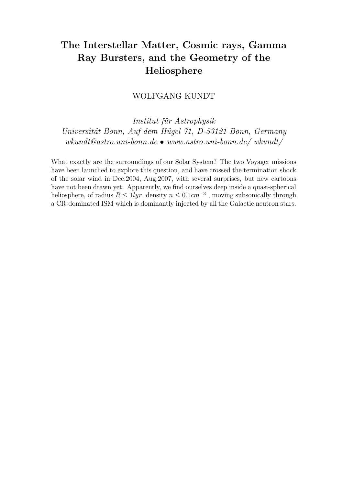# The Interstellar Matter, Cosmic rays, Gamma Ray Bursters, and the Geometry of the Heliosphere

WOLFGANG KUNDT

*Institut f¨ur Astrophysik Universit¨at Bonn, Auf dem H¨ugel 71, D-53121 Bonn, Germany wkundt@astro.uni-bonn.de* • *www.astro.uni-bonn.de/ wkundt/*

What exactly are the surroundings of our Solar System? The two Voyager missions have been launched to explore this question, and have crossed the termination shock of the solar wind in Dec.2004, Aug.2007, with several surprises, but new cartoons have not been drawn yet. Apparently, we find ourselves deep inside a quasi-spherical heliosphere, of radius  $R \leq 1$ lyr, density  $n \leq 0.1$ cm<sup>-3</sup>, moving subsonically through a CR-dominated ISM which is dominantly injected by all the Galactic neutron stars.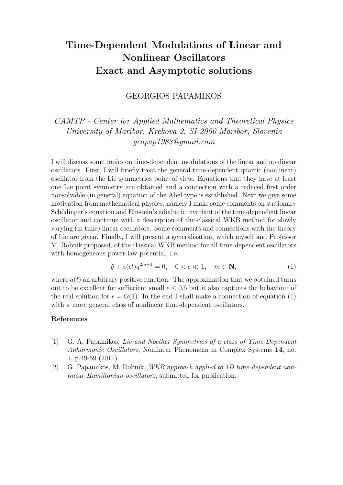# Time-Dependent Modulations of Linear and Nonlinear Oscillators Exact and Asymptotic solutions

### GEORGIOS PAPAMIKOS

*CAMTP - Center for Applied Mathematics and Theoretical Physics University of Maribor, Krekova 2, SI-2000 Maribor, Slovenia geopap1983@gmail.com*

I will discuss some topics on time-dependent modulations of the linear and nonlinear oscillators. First, I will briefly treat the general time-dependent quartic (nonlinear) oscillator from the Lie symmetries point of view. Equations that they have at least one Lie point symmetry are obtained and a connection with a reduced first order nonsolvable (in general) equation of the Abel type is established. Next we give some motivation from mathematical physics, namely I make some comments on stationary Schödinger's equation and Einstein's adiabatic invariant of the time-dependent linear oscillator and continue with a description of the classical WKB method for slowly varying (in time) linear oscillators. Some comments and connections with the theory of Lie are given. Finally, I will present a generalisation, which myself and Professor M. Robnik proposed, of the classical WKB method for all time-dependent oscillators with homogeneous power-law potential, i.e.

$$
\ddot{q} + a(\epsilon t)q^{2m+1} = 0, \quad 0 < \epsilon \ll 1, \quad m \in \mathbb{N},\tag{1}
$$

where  $a(t)$  an arbitrary positive function. The approximation that we obtained turns out to be excellent for suffiecient small  $\epsilon \leq 0.5$  but it also captures the behaviour of the real solution for  $\epsilon = O(1)$ . In the end I shall make a connection of equation (1) with a more general class of nonlinear time-dependent oscillators.

- [1] G. A. Papamikos, *Lie and Noether Symmetries of a class of Time-Dependent Anharmonic Oscillators*, Nonlinear Phenomena in Complex Systems 14, no. 1, p.49-59 (2011)
- [2] G. Papamikos, M. Robnik, *WKB approach applied to 1D time-dependent nonlinear Hamiltonian oscillators*, submitted for publication.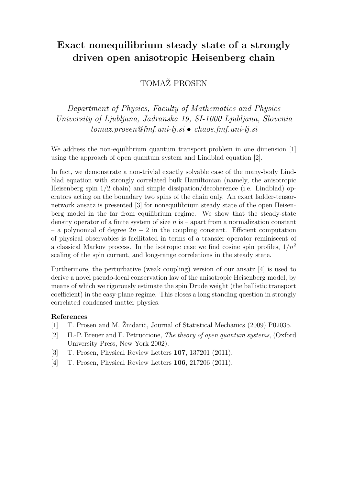# Exact nonequilibrium steady state of a strongly driven open anisotropic Heisenberg chain

### TOMAŽ PROSEN

*Department of Physics, Faculty of Mathematics and Physics University of Ljubljana, Jadranska 19, SI-1000 Ljubljana, Slovenia tomaz.prosen@fmf.uni-lj.si* • *chaos.fmf.uni-lj.si*

We address the non-equilibrium quantum transport problem in one dimension [1] using the approach of open quantum system and Lindblad equation [2].

In fact, we demonstrate a non-trivial exactly solvable case of the many-body Lindblad equation with strongly correlated bulk Hamiltonian (namely, the anisotropic Heisenberg spin 1/2 chain) and simple dissipation/decoherence (i.e. Lindblad) operators acting on the boundary two spins of the chain only. An exact ladder-tensornetwork ansatz is presented [3] for nonequilibrium steady state of the open Heisenberg model in the far from equilibrium regime. We show that the steady-state density operator of a finite system of size  $n$  is – apart from a normalization constant – a polynomial of degree  $2n-2$  in the coupling constant. Efficient computation of physical observables is facilitated in terms of a transfer-operator reminiscent of a classical Markov process. In the isotropic case we find cosine spin profiles,  $1/n^2$ scaling of the spin current, and long-range correlations in the steady state.

Furthermore, the perturbative (weak coupling) version of our ansatz [4] is used to derive a novel pseudo-local conservation law of the anisotropic Heisenberg model, by means of which we rigorously estimate the spin Drude weight (the ballistic transport coefficient) in the easy-plane regime. This closes a long standing question in strongly correlated condensed matter physics.

- [1] T. Prosen and M. Žnidarič, Journal of Statistical Mechanics (2009) P02035.
- [2] H.-P. Breuer and F. Petruccione, *The theory of open quantum systems*, (Oxford University Press, New York 2002).
- [3] T. Prosen, Physical Review Letters 107, 137201 (2011).
- [4] T. Prosen, Physical Review Letters 106, 217206 (2011).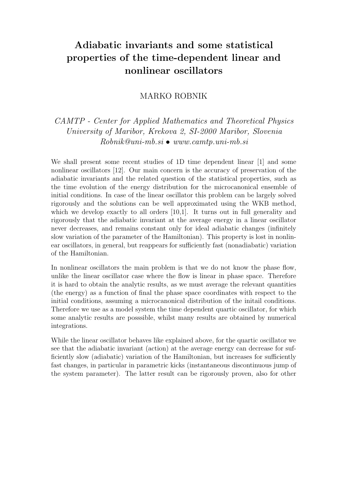# Adiabatic invariants and some statistical properties of the time-dependent linear and nonlinear oscillators

### MARKO ROBNIK

### *CAMTP - Center for Applied Mathematics and Theoretical Physics University of Maribor, Krekova 2, SI-2000 Maribor, Slovenia Robnik@uni-mb.si* • *www.camtp.uni-mb.si*

We shall present some recent studies of 1D time dependent linear [1] and some nonlinear oscillators [12]. Our main concern is the accuracy of preservation of the adiabatic invariants and the related question of the statistical properties, such as the time evolution of the energy distribution for the microcanonical ensemble of initial conditions. In case of the linear oscillator this problem can be largely solved rigorously and the solutions can be well approximated using the WKB method, which we develop exactly to all orders  $[10,1]$ . It turns out in full generality and rigorously that the adiabatic invariant at the average energy in a linear oscillator never decreases, and remains constant only for ideal adiabatic changes (infinitely slow variation of the parameter of the Hamiltonian). This property is lost in nonlinear oscillators, in general, but reappears for sufficiently fast (nonadiabatic) variation of the Hamiltonian.

In nonlinear oscillators the main problem is that we do not know the phase flow, unlike the linear oscillator case where the flow is linear in phase space. Therefore it is hard to obtain the analytic results, as we must average the relevant quantities (the energy) as a function of final the phase space coordinates with respect to the initial conditions, assuming a microcanonical distribution of the initail conditions. Therefore we use as a model system the time dependent quartic oscillator, for which some analytic results are posssible, whilst many results are obtained by numerical integrations.

While the linear oscillator behaves like explained above, for the quartic oscillator we see that the adiabatic invariant (action) at the average energy can decrease for sufficiently slow (adiabatic) variation of the Hamiltonian, but increases for sufficiently fast changes, in particular in parametric kicks (instantaneous discontinuous jump of the system parameter). The latter result can be rigorously proven, also for other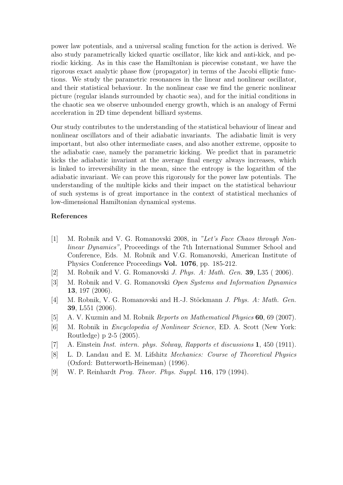power law potentials, and a universal scaling function for the action is derived. We also study parametrically kicked quartic oscillator, like kick and anti-kick, and periodic kicking. As in this case the Hamiltonian is piecewise constant, we have the rigorous exact analytic phase flow (propagator) in terms of the Jacobi elliptic functions. We study the parametric resonances in the linear and nonlinear oscillator, and their statistical behaviour. In the nonlinear case we find the generic nonlinear picture (regular islands surrounded by chaotic sea), and for the initial conditions in the chaotic sea we observe unbounded energy growth, which is an analogy of Fermi acceleration in 2D time dependent billiard systems.

Our study contributes to the understanding of the statistical behaviour of linear and nonlinear oscillators and of their adiabatic invariants. The adiabatic limit is very important, but also other intermediate cases, and also another extreme, opposite to the adiabatic case, namely the parametric kicking. We predict that in parametric kicks the adiabatic invariant at the average final energy always increases, which is linked to irreversibility in the mean, since the entropy is the logarithm of the adiabatic invariant. We can prove this rigorously for the power law potentials. The understanding of the multiple kicks and their impact on the statistical behaviour of such systems is of great importance in the context of statistical mechanics of low-dimensional Hamiltonian dynamical systems.

- [1] M. Robnik and V. G. Romanovski 2008, in *"Let's Face Chaos through Nonlinear Dynamics"*, Proceedings of the 7th International Summer School and Conference, Eds. M. Robnik and V.G. Romanovski, American Institute of Physics Conference Proceedings Vol. 1076, pp. 185-212.
- [2] M. Robnik and V. G. Romanovski *J. Phys. A: Math. Gen.* 39, L35 ( 2006).
- [3] M. Robnik and V. G. Romanovski *Open Systems and Information Dynamics* 13, 197 (2006).
- [4] M. Robnik, V. G. Romanovski and H.-J. Stöckmann *J. Phys. A: Math. Gen.* 39, L551 (2006).
- [5] A. V. Kuzmin and M. Robnik *Reports on Mathematical Physics* 60, 69 (2007).
- [6] M. Robnik in *Encyclopedia of Nonlinear Science*, ED. A. Scott (New York: Routledge) p 2-5 (2005).
- [7] A. Einstein *Inst. intern. phys. Solway, Rapports et discussions* 1, 450 (1911).
- [8] L. D. Landau and E. M. Lifshitz *Mechanics: Course of Theoretical Physics* (Oxford: Butterworth-Heineman) (1996).
- [9] W. P. Reinhardt *Prog. Theor. Phys. Suppl.* 116, 179 (1994).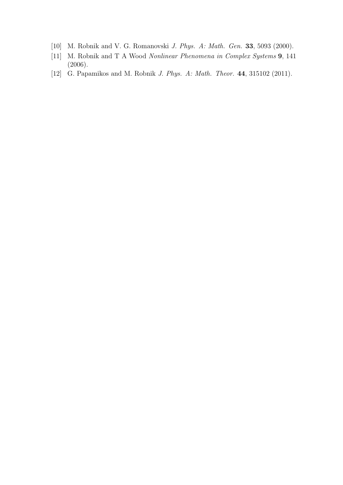- [10] M. Robnik and V. G. Romanovski *J. Phys. A: Math. Gen.* 33, 5093 (2000).
- [11] M. Robnik and T A Wood *Nonlinear Phenomena in Complex Systems* 9, 141 (2006).
- [12] G. Papamikos and M. Robnik *J. Phys. A: Math. Theor.* 44, 315102 (2011).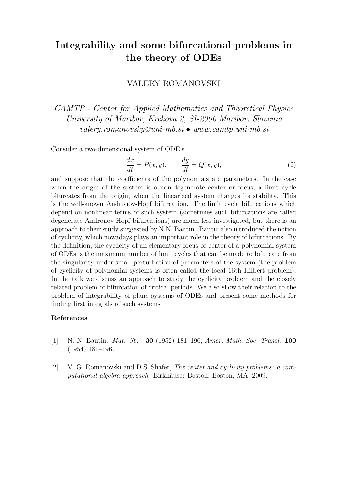## Integrability and some bifurcational problems in the theory of ODEs

### VALERY ROMANOVSKI

*CAMTP - Center for Applied Mathematics and Theoretical Physics University of Maribor, Krekova 2, SI-2000 Maribor, Slovenia valery.romanovsky@uni-mb.si* • *www.camtp.uni-mb.si*

Consider a two-dimensional system of ODE's

$$
\frac{dx}{dt} = P(x, y), \qquad \frac{dy}{dt} = Q(x, y), \tag{2}
$$

and suppose that the coefficients of the polynomials are parameters. In the case when the origin of the system is a non-degenerate center or focus, a limit cycle bifurcates from the origin, when the linearized system changes its stability. This is the well-known Andronov-Hopf bifurcation. The limit cycle bifurcations which depend on nonlinear terms of such system (sometimes such bifurcations are called degenerate Andronov-Hopf bifurcations) are much less investigated, but there is an approach to their study suggested by N.N. Bautin. Bautin also introduced the notion of cyclicity, which nowadays plays an important role in the theory of bifurcations. By the definition, the cyclicity of an elementary focus or center of a polynomial system of ODEs is the maximum number of limit cycles that can be made to bifurcate from the singularity under small perturbation of parameters of the system (the problem of cyclicity of polynomial systems is often called the local 16th Hilbert problem). In the talk we discuss an approach to study the cyclicity problem and the closely related problem of bifurcation of critical periods. We also show their relation to the problem of integrability of plane systems of ODEs and present some methods for finding first integrals of such systems.

- [1] N. N. Bautin. *Mat. Sb.* 30 (1952) 181–196; *Amer. Math. Soc. Transl.* 100 (1954) 181–196.
- [2] V. G. Romanovski and D.S. Shafer, *The center and cyclicity problems: a computational algebra approach.* Birkhäuser Boston, Boston, MA, 2009.